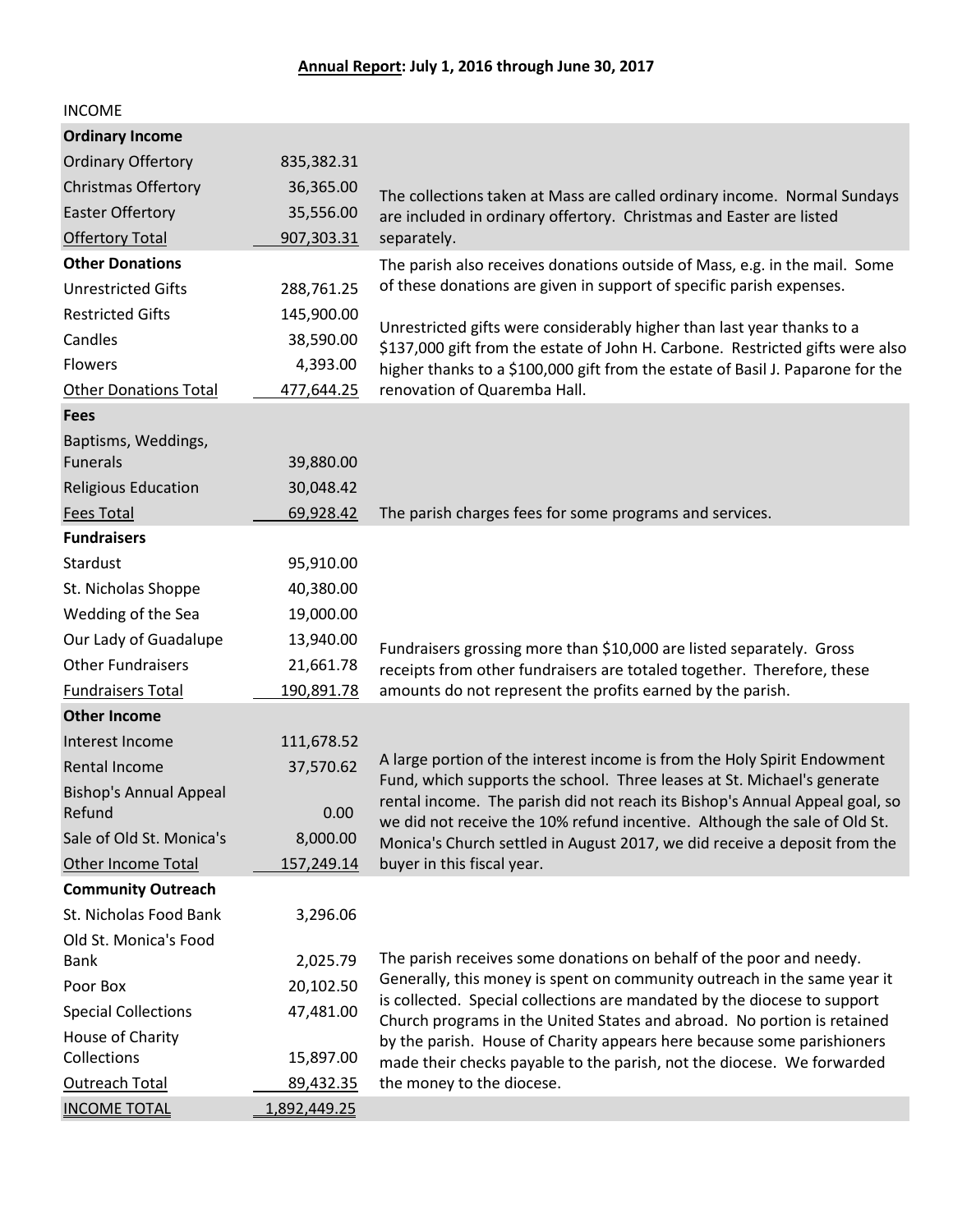| <b>INCOME</b>                 |              |                                                                                                                                                                                                                                                                                                                                                                                     |  |
|-------------------------------|--------------|-------------------------------------------------------------------------------------------------------------------------------------------------------------------------------------------------------------------------------------------------------------------------------------------------------------------------------------------------------------------------------------|--|
| <b>Ordinary Income</b>        |              |                                                                                                                                                                                                                                                                                                                                                                                     |  |
| <b>Ordinary Offertory</b>     | 835,382.31   |                                                                                                                                                                                                                                                                                                                                                                                     |  |
| <b>Christmas Offertory</b>    | 36,365.00    | The collections taken at Mass are called ordinary income. Normal Sundays                                                                                                                                                                                                                                                                                                            |  |
| <b>Easter Offertory</b>       | 35,556.00    | are included in ordinary offertory. Christmas and Easter are listed                                                                                                                                                                                                                                                                                                                 |  |
| <b>Offertory Total</b>        | 907,303.31   | separately.                                                                                                                                                                                                                                                                                                                                                                         |  |
| <b>Other Donations</b>        |              | The parish also receives donations outside of Mass, e.g. in the mail. Some                                                                                                                                                                                                                                                                                                          |  |
| <b>Unrestricted Gifts</b>     | 288,761.25   | of these donations are given in support of specific parish expenses.                                                                                                                                                                                                                                                                                                                |  |
| <b>Restricted Gifts</b>       | 145,900.00   |                                                                                                                                                                                                                                                                                                                                                                                     |  |
| Candles                       | 38,590.00    | Unrestricted gifts were considerably higher than last year thanks to a<br>\$137,000 gift from the estate of John H. Carbone. Restricted gifts were also<br>higher thanks to a \$100,000 gift from the estate of Basil J. Paparone for the<br>renovation of Quaremba Hall.                                                                                                           |  |
| <b>Flowers</b>                | 4,393.00     |                                                                                                                                                                                                                                                                                                                                                                                     |  |
| <b>Other Donations Total</b>  | 477,644.25   |                                                                                                                                                                                                                                                                                                                                                                                     |  |
| <b>Fees</b>                   |              |                                                                                                                                                                                                                                                                                                                                                                                     |  |
| Baptisms, Weddings,           |              |                                                                                                                                                                                                                                                                                                                                                                                     |  |
| <b>Funerals</b>               | 39,880.00    |                                                                                                                                                                                                                                                                                                                                                                                     |  |
| <b>Religious Education</b>    | 30,048.42    |                                                                                                                                                                                                                                                                                                                                                                                     |  |
| <b>Fees Total</b>             | 69,928.42    | The parish charges fees for some programs and services.                                                                                                                                                                                                                                                                                                                             |  |
| <b>Fundraisers</b>            |              |                                                                                                                                                                                                                                                                                                                                                                                     |  |
| Stardust                      | 95,910.00    |                                                                                                                                                                                                                                                                                                                                                                                     |  |
| St. Nicholas Shoppe           | 40,380.00    |                                                                                                                                                                                                                                                                                                                                                                                     |  |
| Wedding of the Sea            | 19,000.00    |                                                                                                                                                                                                                                                                                                                                                                                     |  |
| Our Lady of Guadalupe         | 13,940.00    | Fundraisers grossing more than \$10,000 are listed separately. Gross                                                                                                                                                                                                                                                                                                                |  |
| <b>Other Fundraisers</b>      | 21,661.78    | receipts from other fundraisers are totaled together. Therefore, these                                                                                                                                                                                                                                                                                                              |  |
| <b>Fundraisers Total</b>      | 190,891.78   | amounts do not represent the profits earned by the parish.                                                                                                                                                                                                                                                                                                                          |  |
| <b>Other Income</b>           |              |                                                                                                                                                                                                                                                                                                                                                                                     |  |
| Interest Income               | 111,678.52   |                                                                                                                                                                                                                                                                                                                                                                                     |  |
| <b>Rental Income</b>          | 37,570.62    | A large portion of the interest income is from the Holy Spirit Endowment                                                                                                                                                                                                                                                                                                            |  |
| <b>Bishop's Annual Appeal</b> |              | Fund, which supports the school. Three leases at St. Michael's generate<br>rental income. The parish did not reach its Bishop's Annual Appeal goal, so                                                                                                                                                                                                                              |  |
| Refund                        | 0.00         | we did not receive the 10% refund incentive. Although the sale of Old St.                                                                                                                                                                                                                                                                                                           |  |
| Sale of Old St. Monica's      | 8,000.00     | Monica's Church settled in August 2017, we did receive a deposit from the                                                                                                                                                                                                                                                                                                           |  |
| Other Income Total            | 157,249.14   | buyer in this fiscal year.                                                                                                                                                                                                                                                                                                                                                          |  |
| <b>Community Outreach</b>     |              |                                                                                                                                                                                                                                                                                                                                                                                     |  |
| St. Nicholas Food Bank        | 3,296.06     |                                                                                                                                                                                                                                                                                                                                                                                     |  |
| Old St. Monica's Food         |              |                                                                                                                                                                                                                                                                                                                                                                                     |  |
| Bank                          | 2,025.79     | The parish receives some donations on behalf of the poor and needy.                                                                                                                                                                                                                                                                                                                 |  |
| Poor Box                      | 20,102.50    | Generally, this money is spent on community outreach in the same year it<br>is collected. Special collections are mandated by the diocese to support<br>Church programs in the United States and abroad. No portion is retained<br>by the parish. House of Charity appears here because some parishioners<br>made their checks payable to the parish, not the diocese. We forwarded |  |
| <b>Special Collections</b>    | 47,481.00    |                                                                                                                                                                                                                                                                                                                                                                                     |  |
| House of Charity              |              |                                                                                                                                                                                                                                                                                                                                                                                     |  |
| Collections                   | 15,897.00    |                                                                                                                                                                                                                                                                                                                                                                                     |  |
| Outreach Total                | 89,432.35    | the money to the diocese.                                                                                                                                                                                                                                                                                                                                                           |  |
| <b>INCOME TOTAL</b>           | 1,892,449.25 |                                                                                                                                                                                                                                                                                                                                                                                     |  |